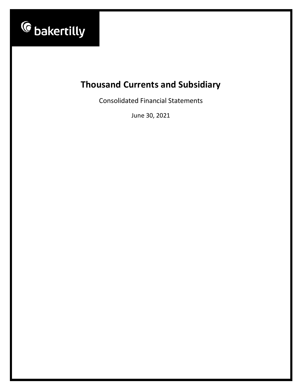

# **Thousand Currents and Subsidiary**

Consolidated Financial Statements

June 30, 2021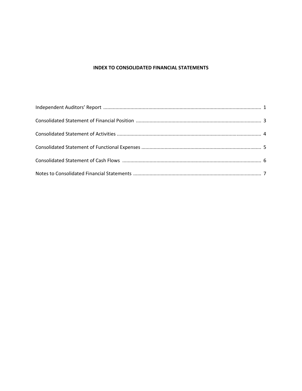# **INDEX TO CONSOLIDATED FINANCIAL STATEMENTS**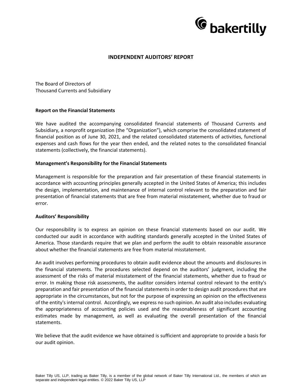

# **INDEPENDENT AUDITORS' REPORT**

The Board of Directors of Thousand Currents and Subsidiary

#### **Report on the Financial Statements**

We have audited the accompanying consolidated financial statements of Thousand Currents and Subsidiary, a nonprofit organization (the "Organization"), which comprise the consolidated statement of financial position as of June 30, 2021, and the related consolidated statements of activities, functional expenses and cash flows for the year then ended, and the related notes to the consolidated financial statements (collectively, the financial statements).

#### **Management's Responsibility for the Financial Statements**

Management is responsible for the preparation and fair presentation of these financial statements in accordance with accounting principles generally accepted in the United States of America; this includes the design, implementation, and maintenance of internal control relevant to the preparation and fair presentation of financial statements that are free from material misstatement, whether due to fraud or error.

#### **Auditors' Responsibility**

Our responsibility is to express an opinion on these financial statements based on our audit. We conducted our audit in accordance with auditing standards generally accepted in the United States of America. Those standards require that we plan and perform the audit to obtain reasonable assurance about whether the financial statements are free from material misstatement.

An audit involves performing procedures to obtain audit evidence about the amounts and disclosures in the financial statements. The procedures selected depend on the auditors' judgment, including the assessment of the risks of material misstatement of the financial statements, whether due to fraud or error. In making those risk assessments, the auditor considers internal control relevant to the entity's preparation and fair presentation of the financial statements in order to design audit procedures that are appropriate in the circumstances, but not for the purpose of expressing an opinion on the effectiveness of the entity's internal control. Accordingly, we express no such opinion. An audit also includes evaluating the appropriateness of accounting policies used and the reasonableness of significant accounting estimates made by management, as well as evaluating the overall presentation of the financial statements.

We believe that the audit evidence we have obtained is sufficient and appropriate to provide a basis for our audit opinion.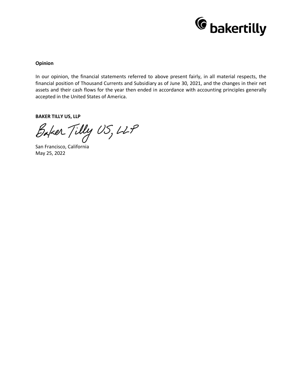

## **Opinion**

In our opinion, the financial statements referred to above present fairly, in all material respects, the financial position of Thousand Currents and Subsidiary as of June 30, 2021, and the changes in their net assets and their cash flows for the year then ended in accordance with accounting principles generally accepted in the United States of America.

**BAKER TILLY US, LLP**

Baker Tilly US, LLP

San Francisco, California May 25, 2022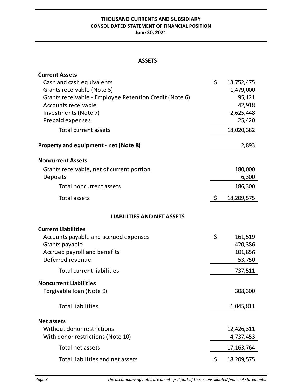# **THOUSAND CURRENTS AND SUBSIDIARY CONSOLIDATED STATEMENT OF FINANCIAL POSITION June 30, 2021**

# **ASSETS**

| <b>Current Assets</b>                                  |                  |
|--------------------------------------------------------|------------------|
| Cash and cash equivalents                              | \$<br>13,752,475 |
| Grants receivable (Note 5)                             | 1,479,000        |
| Grants receivable - Employee Retention Credit (Note 6) | 95,121           |
| <b>Accounts receivable</b>                             | 42,918           |
| Investments (Note 7)                                   | 2,625,448        |
| Prepaid expenses                                       | 25,420           |
| <b>Total current assets</b>                            | 18,020,382       |
| Property and equipment - net (Note 8)                  | 2,893            |
| <b>Noncurrent Assets</b>                               |                  |
| Grants receivable, net of current portion              | 180,000          |
| Deposits                                               | 6,300            |
| <b>Total noncurrent assets</b>                         | 186,300          |
| <b>Total assets</b>                                    | \$<br>18,209,575 |
| <b>LIABILITIES AND NET ASSETS</b>                      |                  |
| <b>Current Liabilities</b>                             |                  |
| Accounts payable and accrued expenses                  | \$<br>161,519    |
| Grants payable                                         | 420,386          |
| Accrued payroll and benefits                           | 101,856          |
| Deferred revenue                                       | 53,750           |
| <b>Total current liabilities</b>                       | 737,511          |
| <b>Noncurrent Liabilities</b>                          |                  |
| Forgivable Ioan (Note 9)                               | 308,300          |
|                                                        |                  |
| <b>Total liabilities</b>                               | 1,045,811        |
| <b>Net assets</b>                                      |                  |
| Without donor restrictions                             | 12,426,311       |
| With donor restrictions (Note 10)                      | 4,737,453        |
| Total net assets                                       | 17, 163, 764     |
| Total liabilities and net assets                       | \$<br>18,209,575 |

*Page 3 The accompanying notes are an integral part of these consolidated financial statements.*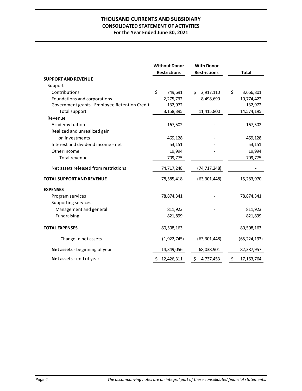# **THOUSAND CURRENTS AND SUBSIDIARY CONSOLIDATED STATEMENT OF ACTIVITIES For the Year Ended June 30, 2021**

|                                               | <b>Without Donor</b> | <b>With Donor</b>   |                    |
|-----------------------------------------------|----------------------|---------------------|--------------------|
|                                               | <b>Restrictions</b>  | <b>Restrictions</b> | <b>Total</b>       |
| <b>SUPPORT AND REVENUE</b>                    |                      |                     |                    |
| Support                                       |                      |                     |                    |
| Contributions                                 | \$<br>749,691        | \$<br>2,917,110     | \$<br>3,666,801    |
| Foundations and corporations                  | 2,275,732            | 8,498,690           | 10,774,422         |
| Government grants - Employee Retention Credit | 132,972              |                     | 132,972            |
| <b>Total support</b>                          | 3,158,395            | 11,415,800          | 14,574,195         |
| Revenue                                       |                      |                     |                    |
| Academy tuition                               | 167,502              |                     | 167,502            |
| Realized and unrealized gain                  |                      |                     |                    |
| on investments                                | 469,128              |                     | 469,128            |
| Interest and dividend income - net            | 53,151               |                     | 53,151             |
| Other income                                  | 19,994               |                     | 19,994             |
| Total revenue                                 | 709,775              |                     | 709,775            |
| Net assets released from restrictions         | 74,717,248           | (74,717,248)        |                    |
| <b>TOTAL SUPPORT AND REVENUE</b>              | 78,585,418           | (63, 301, 448)      | 15,283,970         |
| <b>EXPENSES</b>                               |                      |                     |                    |
| Program services                              | 78,874,341           |                     | 78,874,341         |
| Supporting services:                          |                      |                     |                    |
| Management and general                        | 811,923              |                     | 811,923            |
| Fundraising                                   | 821,899              |                     | 821,899            |
| <b>TOTAL EXPENSES</b>                         | 80,508,163           |                     | 80,508,163         |
| Change in net assets                          | (1,922,745)          | (63, 301, 448)      | (65, 224, 193)     |
| Net assets - beginning of year                | 14,349,056           | 68,038,901          | 82,387,957         |
| Net assets - end of year                      | \$<br>12,426,311     | \$<br>4,737,453     | \$<br>17, 163, 764 |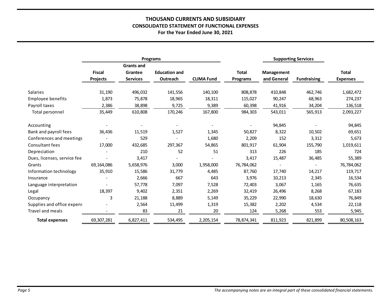# **THOUSAND CURRENTS AND SUBSIDIARY CONSOLIDATED STATEMENT OF FUNCTIONAL EXPENSES For the Year Ended June 30, 2021**

|                             |                 |                   | Programs             |                   |              | <b>Supporting Services</b> |                    |                 |
|-----------------------------|-----------------|-------------------|----------------------|-------------------|--------------|----------------------------|--------------------|-----------------|
|                             |                 | <b>Grants and</b> |                      |                   |              |                            |                    |                 |
|                             | <b>Fiscal</b>   | Grantee           | <b>Education and</b> |                   | <b>Total</b> | Management                 |                    | <b>Total</b>    |
|                             | <b>Projects</b> | <b>Services</b>   | Outreach             | <b>CLIMA Fund</b> | Programs     | and General                | <b>Fundraising</b> | <b>Expenses</b> |
| <b>Salaries</b>             | 31,190          | 496,032           | 141,556              | 140,100           | 808,878      | 410,848                    | 462,746            | 1,682,472       |
| <b>Employee benefits</b>    | 1,873           | 75,878            | 18,965               | 18,311            | 115,027      | 90,247                     | 68,963             | 274,237         |
| Payroll taxes               | 2,386           | 38,898            | 9,725                | 9,389             | 60,398       | 41,916                     | 34,204             | 136,518         |
| Total personnel             | 35,449          | 610,808           | 170,246              | 167,800           | 984,303      | 543,011                    | 565,913            | 2,093,227       |
| Accounting                  |                 |                   |                      |                   |              | 94,845                     |                    | 94,845          |
| Bank and payroll fees       | 36,436          | 11,519            | 1,527                | 1,345             | 50,827       | 8,322                      | 10,502             | 69,651          |
| Conferences and meetings    |                 | 529               |                      | 1,680             | 2,209        | 152                        | 3,312              | 5,673           |
| Consultant fees             | 17,000          | 432,685           | 297,367              | 54,865            | 801,917      | 61,904                     | 155,790            | 1,019,611       |
| Depreciation                |                 | 210               | 52                   | 51                | 313          | 226                        | 185                | 724             |
| Dues, licenses, service fee |                 | 3,417             |                      |                   | 3,417        | 15,487                     | 36,485             | 55,389          |
| Grants                      | 69,164,086      | 5,658,976         | 3,000                | 1,958,000         | 76,784,062   |                            |                    | 76,784,062      |
| Information technology      | 35,910          | 15,586            | 31,779               | 4,485             | 87,760       | 17,740                     | 14,217             | 119,717         |
| Insurance                   |                 | 2,666             | 667                  | 643               | 3,976        | 10,213                     | 2,345              | 16,534          |
| Language interpretation     |                 | 57,778            | 7,097                | 7,528             | 72,403       | 3,067                      | 1,165              | 76,635          |
| Legal                       | 18,397          | 9,402             | 2,351                | 2,269             | 32,419       | 26,496                     | 8,268              | 67,183          |
| Occupancy                   | 3               | 21,188            | 8,889                | 5,149             | 35,229       | 22,990                     | 18,630             | 76,849          |
| Supplies and office expens  |                 | 2,564             | 11,499               | 1,319             | 15,382       | 2,202                      | 4,534              | 22,118          |
| <b>Travel and meals</b>     |                 | 83                | 21                   | 20                | 124          | 5,268                      | 553                | 5,945           |
| <b>Total expenses</b>       | 69,307,281      | 6,827,411         | 534,495              | 2,205,154         | 78,874,341   | 811,923                    | 821,899            | 80,508,163      |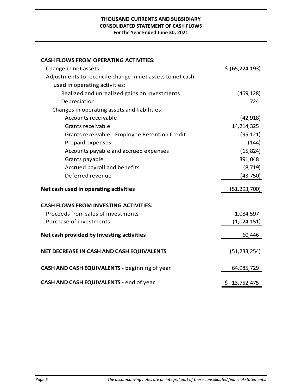# **THOUSAND CURRENTS AND SUBSIDIARY CONSOLIDATED STATEMENT OF CASH FLOWS For the Year Ended June 30, 2021**

| <b>CASH FLOWS FROM OPERATING ACTIVITIES:</b>              |                   |
|-----------------------------------------------------------|-------------------|
| Change in net assets                                      | \$ (65, 224, 193) |
| Adjustments to reconcile change in net assets to net cash |                   |
| used in operating activities:                             |                   |
| Realized and unrealized gains on investments              | (469, 128)        |
| Depreciation                                              | 724               |
| Changes in operating assets and liabilities:              |                   |
| Accounts receivable                                       | (42, 918)         |
| Grants receivable                                         | 14,214,325        |
| Grants receivable - Employee Retention Credit             | (95, 121)         |
| Prepaid expenses                                          | (144)             |
| Accounts payable and accrued expenses                     | (15, 824)         |
| Grants payable                                            | 391,048           |
| Accrued payroll and benefits                              | (8, 719)          |
| Deferred revenue                                          | (43, 750)         |
| Net cash used in operating activities                     | (51, 293, 700)    |
| <b>CASH FLOWS FROM INVESTING ACTIVITIES:</b>              |                   |
| Proceeds from sales of investments                        | 1,084,597         |
| Purchase of investments                                   | (1,024,151)       |
| Net cash provided by investing activities                 | 60,446            |
| NET DECREASE IN CASH AND CASH EQUIVALENTS                 | (51, 233, 254)    |
| CASH AND CASH EQUIVALENTS - beginning of year             | 64,985,729        |
| CASH AND CASH EQUIVALENTS - end of year                   | \$13,752,475      |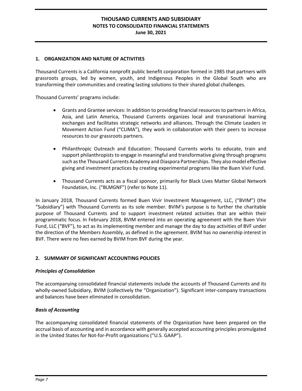## **1. ORGANIZATION AND NATURE OF ACTIVITIES**

Thousand Currents is a California nonprofit public benefit corporation formed in 1985 that partners with grassroots groups, led by women, youth, and Indigenous Peoples in the Global South who are transforming their communities and creating lasting solutions to their shared global challenges.

Thousand Currents' programs include:

- Grants and Grantee services: In addition to providing financial resources to partners in Africa, Asia, and Latin America, Thousand Currents organizes local and transnational learning exchanges and facilitates strategic networks and alliances. Through the Climate Leaders in Movement Action Fund ("CLIMA"), they work in collaboration with their peers to increase resources to our grassroots partners.
- Philanthropic Outreach and Education: Thousand Currents works to educate, train and support philanthropists to engage in meaningful and transformative giving through programs such as the Thousand Currents Academy and Diaspora Partnerships. They also model effective giving and investment practices by creating experimental programs like the Buen Vivir Fund.
- Thousand Currents acts as a fiscal sponsor, primarily for Black Lives Matter Global Network Foundation, Inc. ("BLMGNF") (refer to Note 11).

In January 2018, Thousand Currents formed Buen Vivir Investment Management, LLC, ("BVIM") (the "Subsidiary") with Thousand Currents as its sole member. BVIM's purpose is to further the charitable purpose of Thousand Currents and to support investment related activities that are within their programmatic focus. In February 2018, BVIM entered into an operating agreement with the Buen Vivir Fund, LLC ("BVF"), to act as its implementing member and manage the day to day activities of BVF under the direction of the Members Assembly, as defined in the agreement. BVIM has no ownership interest in BVF. There were no fees earned by BVIM from BVF during the year.

# **2. SUMMARY OF SIGNIFICANT ACCOUNTING POLICIES**

#### *Principles of Consolidation*

The accompanying consolidated financial statements include the accounts of Thousand Currents and its wholly-owned Subsidiary, BVIM (collectively the "Organization"). Significant inter-company transactions and balances have been eliminated in consolidation.

#### *Basis of Accounting*

The accompanying consolidated financial statements of the Organization have been prepared on the accrual basis of accounting and in accordance with generally accepted accounting principles promulgated in the United States for Not‐for‐Profit organizations ("U.S. GAAP").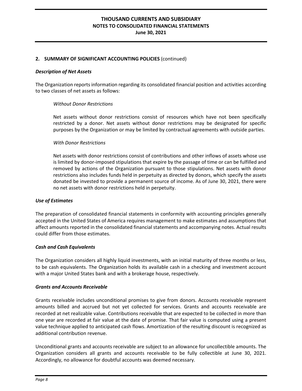#### **2. SUMMARY OF SIGNIFICANT ACCOUNTING POLICIES** (continued)

#### *Description of Net Assets*

The Organization reports information regarding its consolidated financial position and activities according to two classes of net assets as follows:

#### *Without Donor Restrictions*

Net assets without donor restrictions consist of resources which have not been specifically restricted by a donor. Net assets without donor restrictions may be designated for specific purposes by the Organization or may be limited by contractual agreements with outside parties.

#### *With Donor Restrictions*

Net assets with donor restrictions consist of contributions and other inflows of assets whose use is limited by donor-imposed stipulations that expire by the passage of time or can be fulfilled and removed by actions of the Organization pursuant to those stipulations. Net assets with donor restrictions also includes funds held in perpetuity as directed by donors, which specify the assets donated be invested to provide a permanent source of income. As of June 30, 2021, there were no net assets with donor restrictions held in perpetuity.

#### *Use of Estimates*

The preparation of consolidated financial statements in conformity with accounting principles generally accepted in the United States of America requires management to make estimates and assumptions that affect amounts reported in the consolidated financial statements and accompanying notes. Actual results could differ from those estimates.

#### *Cash and Cash Equivalents*

The Organization considers all highly liquid investments, with an initial maturity of three months or less, to be cash equivalents. The Organization holds its available cash in a checking and investment account with a major United States bank and with a brokerage house, respectively.

#### *Grants and Accounts Receivable*

Grants receivable includes unconditional promises to give from donors. Accounts receivable represent amounts billed and accrued but not yet collected for services. Grants and accounts receivable are recorded at net realizable value. Contributions receivable that are expected to be collected in more than one year are recorded at fair value at the date of promise. That fair value is computed using a present value technique applied to anticipated cash flows. Amortization of the resulting discount is recognized as additional contribution revenue.

Unconditional grants and accounts receivable are subject to an allowance for uncollectible amounts. The Organization considers all grants and accounts receivable to be fully collectible at June 30, 2021. Accordingly, no allowance for doubtful accounts was deemed necessary.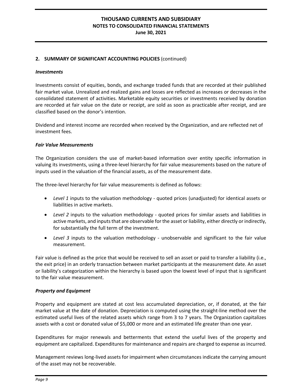# **2. SUMMARY OF SIGNIFICANT ACCOUNTING POLICIES** (continued)

## *Investments*

Investments consist of equities, bonds, and exchange traded funds that are recorded at their published fair market value. Unrealized and realized gains and losses are reflected as increases or decreases in the consolidated statement of activities. Marketable equity securities or investments received by donation are recorded at fair value on the date or receipt, are sold as soon as practicable after receipt, and are classified based on the donor's intention.

Dividend and interest income are recorded when received by the Organization, and are reflected net of investment fees.

# *Fair Value Measurements*

The Organization considers the use of market-based information over entity specific information in valuing its investments, using a three‐level hierarchy for fair value measurements based on the nature of inputs used in the valuation of the financial assets, as of the measurement date.

The three-level hierarchy for fair value measurements is defined as follows:

- *Level 1* inputs to the valuation methodology quoted prices (unadjusted) for identical assets or liabilities in active markets.
- *Level 2* inputs to the valuation methodology quoted prices for similar assets and liabilities in active markets, and inputs that are observable for the asset or liability, either directly or indirectly, for substantially the full term of the investment.
- *Level 3* inputs to the valuation methodology unobservable and significant to the fair value measurement.

Fair value is defined as the price that would be received to sell an asset or paid to transfer a liability (i.e., the exit price) in an orderly transaction between market participants at the measurement date. An asset or liability's categorization within the hierarchy is based upon the lowest level of input that is significant to the fair value measurement.

# *Property and Equipment*

Property and equipment are stated at cost less accumulated depreciation, or, if donated, at the fair market value at the date of donation. Depreciation is computed using the straight‐line method over the estimated useful lives of the related assets which range from 3 to 7 years. The Organization capitalizes assets with a cost or donated value of \$5,000 or more and an estimated life greater than one year.

Expenditures for major renewals and betterments that extend the useful lives of the property and equipment are capitalized. Expenditures for maintenance and repairs are charged to expense as incurred.

Management reviews long-lived assets for impairment when circumstances indicate the carrying amount of the asset may not be recoverable.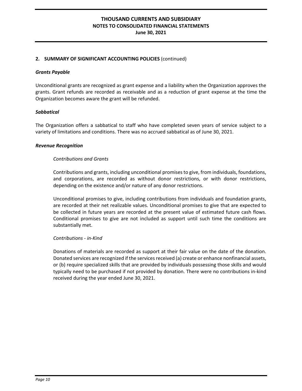# **2. SUMMARY OF SIGNIFICANT ACCOUNTING POLICIES** (continued)

#### *Grants Payable*

Unconditional grants are recognized as grant expense and a liability when the Organization approves the grants. Grant refunds are recorded as receivable and as a reduction of grant expense at the time the Organization becomes aware the grant will be refunded.

#### *Sabbatical*

The Organization offers a sabbatical to staff who have completed seven years of service subject to a variety of limitations and conditions. There was no accrued sabbatical as of June 30, 2021.

#### *Revenue Recognition*

# *Contributions and Grants*

Contributions and grants, including unconditional promises to give, from individuals, foundations, and corporations, are recorded as without donor restrictions, or with donor restrictions, depending on the existence and/or nature of any donor restrictions.

Unconditional promises to give, including contributions from individuals and foundation grants, are recorded at their net realizable values. Unconditional promises to give that are expected to be collected in future years are recorded at the present value of estimated future cash flows. Conditional promises to give are not included as support until such time the conditions are substantially met.

#### *Contributions ‐ in‐Kind*

Donations of materials are recorded as support at their fair value on the date of the donation. Donated services are recognized if the services received (a) create or enhance nonfinancial assets, or (b) require specialized skills that are provided by individuals possessing those skills and would typically need to be purchased if not provided by donation. There were no contributions in‐kind received during the year ended June 30, 2021.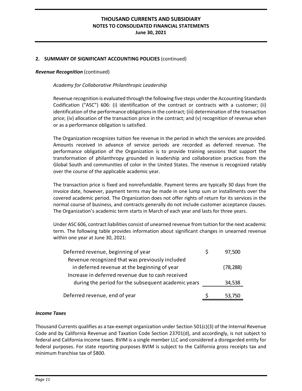## **2. SUMMARY OF SIGNIFICANT ACCOUNTING POLICIES** (continued)

#### *Revenue Recognition* (continued)

#### *Academy for Collaborative Philanthropic Leadership*

Revenue recognition is evaluated through the following five steps under the Accounting Standards Codification ("ASC") 606: (i) identification of the contract or contracts with a customer; (ii) identification of the performance obligations in the contract; (iii) determination of the transaction price; (iv) allocation of the transaction price in the contract; and (v) recognition of revenue when or as a performance obligation is satisfied.

The Organization recognizes tuition fee revenue in the period in which the services are provided. Amounts received in advance of service periods are recorded as deferred revenue. The performance obligation of the Organization is to provide training sessions that support the transformation of philanthropy grounded in leadership and collaboration practices from the Global South and communities of color in the United States. The revenue is recognized ratably over the course of the applicable academic year.

The transaction price is fixed and nonrefundable. Payment terms are typically 30 days from the invoice date, however, payment terms may be made in one lump sum or installments over the covered academic period. The Organization does not offer rights of return for its services in the normal course of business, and contracts generally do not include customer acceptance clauses. The Organization's academic term starts in March of each year and lasts for three years.

Under ASC 606, contract liabilities consist of unearned revenue from tuition for the next academic term. The following table provides information about significant changes in unearned revenue within one year at June 30, 2021:

| Deferred revenue, beginning of year                 | 97,500   |
|-----------------------------------------------------|----------|
| Revenue recognized that was previously included     |          |
| in deferred revenue at the beginning of year        | (78,288) |
| Increase in deferred revenue due to cash received   |          |
| during the period for the subsequent academic years | 34,538   |
|                                                     |          |
| Deferred revenue, end of year                       | 53,750   |

#### *Income Taxes*

Thousand Currents qualifies as a tax‐exempt organization under Section 501(c)(3) of the Internal Revenue Code and by California Revenue and Taxation Code Section 23701(d), and accordingly, is not subject to federal and California income taxes. BVIM is a single member LLC and considered a disregarded entity for federal purposes. For state reporting purposes BVIM is subject to the California gross receipts tax and minimum franchise tax of \$800.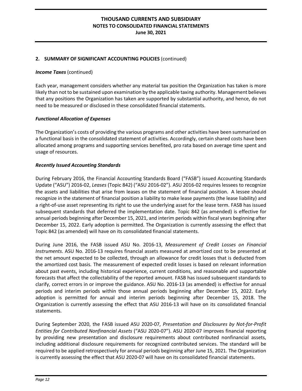# **2. SUMMARY OF SIGNIFICANT ACCOUNTING POLICIES** (continued)

## *Income Taxes* (continued)

Each year, management considers whether any material tax position the Organization has taken is more likely than not to be sustained upon examination by the applicable taxing authority. Management believes that any positions the Organization has taken are supported by substantial authority, and hence, do not need to be measured or disclosed in these consolidated financial statements.

# *Functional Allocation of Expenses*

The Organization's costs of providing the various programs and other activities have been summarized on a functional basis in the consolidated statement of activities. Accordingly, certain shared costs have been allocated among programs and supporting services benefited, pro rata based on average time spent and usage of resources.

# *Recently Issued Accounting Standards*

During February 2016, the Financial Accounting Standards Board ("FASB") issued Accounting Standards Update ("ASU") 2016-02, *Leases* (Topic 842) ("ASU 2016-02"). ASU 2016-02 requires lessees to recognize the assets and liabilities that arise from leases on the statement of financial position. A lessee should recognize in the statement of financial position a liability to make lease payments (the lease liability) and a right-of-use asset representing its right to use the underlying asset for the lease term. FASB has issued subsequent standards that deferred the implementation date. Topic 842 (as amended) is effective for annual periods beginning after December 15, 2021, and interim periods within fiscal years beginning after December 15, 2022. Early adoption is permitted. The Organization is currently assessing the effect that Topic 842 (as amended) will have on its consolidated financial statements.

During June 2016, the FASB issued ASU No. 2016-13, *Measurement of Credit Losses on Financial Instruments*. ASU No. 2016-13 requires financial assets measured at amortized cost to be presented at the net amount expected to be collected, through an allowance for credit losses that is deducted from the amortized cost basis. The measurement of expected credit losses is based on relevant information about past events, including historical experience, current conditions, and reasonable and supportable forecasts that affect the collectability of the reported amount. FASB has issued subsequent standards to clarify, correct errors in or improve the guidance. ASU No. 2016-13 (as amended) is effective for annual periods and interim periods within those annual periods beginning after December 15, 2022. Early adoption is permitted for annual and interim periods beginning after December 15, 2018. The Organization is currently assessing the effect that ASU 2016-13 will have on its consolidated financial statements.

During September 2020, the FASB issued ASU 2020-07, *Presentation and Disclosures by Not-for-Profit Entities for Contributed Nonfinancial Assets* ("ASU 2020-07"). ASU 2020-07 improves financial reporting by providing new presentation and disclosure requirements about contributed nonfinancial assets, including additional disclosure requirements for recognized contributed services. The standard will be required to be applied retrospectively for annual periods beginning after June 15, 2021. The Organization is currently assessing the effect that ASU 2020-07 will have on its consolidated financial statements.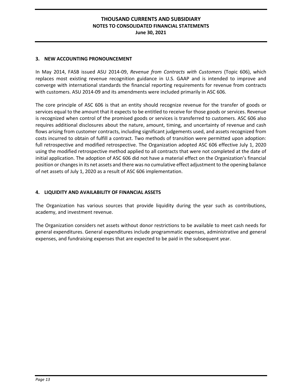## **3. NEW ACCOUNTING PRONOUNCEMENT**

In May 2014, FASB issued ASU 2014‐09, *Revenue from Contracts with Customers* (Topic 606), which replaces most existing revenue recognition guidance in U.S. GAAP and is intended to improve and converge with international standards the financial reporting requirements for revenue from contracts with customers. ASU 2014‐09 and its amendments were included primarily in ASC 606.

The core principle of ASC 606 is that an entity should recognize revenue for the transfer of goods or services equal to the amount that it expects to be entitled to receive for those goods or services. Revenue is recognized when control of the promised goods or services is transferred to customers. ASC 606 also requires additional disclosures about the nature, amount, timing, and uncertainty of revenue and cash flows arising from customer contracts, including significant judgements used, and assets recognized from costs incurred to obtain of fulfill a contract. Two methods of transition were permitted upon adoption: full retrospective and modified retrospective. The Organization adopted ASC 606 effective July 1, 2020 using the modified retrospective method applied to all contracts that were not completed at the date of initial application. The adoption of ASC 606 did not have a material effect on the Organization's financial position or changes in its net assets and there was no cumulative effect adjustment to the opening balance of net assets of July 1, 2020 as a result of ASC 606 implementation.

# **4. LIQUIDITY AND AVAILABILITY OF FINANCIAL ASSETS**

The Organization has various sources that provide liquidity during the year such as contributions, academy, and investment revenue.

The Organization considers net assets without donor restrictions to be available to meet cash needs for general expenditures. General expenditures include programmatic expenses, administrative and general expenses, and fundraising expenses that are expected to be paid in the subsequent year.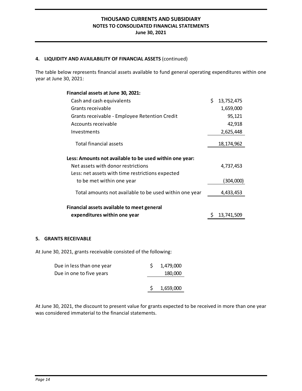# **4. LIQUIDITY AND AVAILABILITY OF FINANCIAL ASSETS** (continued)

The table below represents financial assets available to fund general operating expenditures within one year at June 30, 2021:

| \$. | 13,752,475 |
|-----|------------|
|     | 1,659,000  |
|     | 95,121     |
|     | 42,918     |
|     | 2,625,448  |
|     | 18,174,962 |
|     |            |
|     | 4,737,453  |
|     |            |
|     | (304,000)  |
|     | 4,433,453  |
|     |            |
|     |            |
|     |            |

#### **5. GRANTS RECEIVABLE**

At June 30, 2021, grants receivable consisted of the following:

| Due in less than one year | 1,479,000 |
|---------------------------|-----------|
| Due in one to five years  | 180,000   |
|                           |           |
|                           | 1,659,000 |

At June 30, 2021, the discount to present value for grants expected to be received in more than one year was considered immaterial to the financial statements.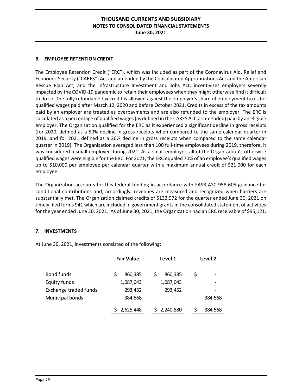# **6. EMPLOYEE RETENTION CREDIT**

The Employee Retention Credit ("ERC"), which was included as part of the Coronavirus Aid, Relief and Economic Security ("CARES") Act and amended by the Consolidated Appropriations Act and the American Rescue Plan Act, and the Infrastructure Investment and Jobs Act, incentivizes employers severely impacted by the COVID‐19 pandemic to retain their employees when they might otherwise find it difficult to do so. The fully refundable tax credit is allowed against the employer's share of employment taxes for qualified wages paid after March 12, 2020 and before October 2021. Credits in excess of the tax amounts paid by an employer are treated as overpayments and are also refunded to the employer. The ERC is calculated as a percentage of qualified wages (as defined in the CARES Act, as amended) paid by an eligible employer. The Organization qualified for the ERC as it experienced a significant decline in gross receipts (for 2020, defined as a 50% decline in gross receipts when compared to the same calendar quarter in 2019, and for 2021 defined as a 20% decline in gross receipts when compared to the same calendar quarter in 2019). The Organization averaged less than 100 full‐time employees during 2019, therefore, it was considered a small employer during 2021. As a small employer, all of the Organization's otherwise qualified wages were eligible for the ERC. For 2021, the ERC equaled 70% of an employee's qualified wages up to \$10,000 per employee per calendar quarter with a maximum annual credit of \$21,000 for each employee.

The Organization accounts for this federal funding in accordance with FASB ASC 958‐605 guidance for conditional contributions and, accordingly, revenues are measured and recognized when barriers are substantially met. The Organization claimed credits of \$132,972 for the quarter ended June 30, 2021 on timely filed forms 941 which are included in government grants in the consolidated statement of activities for the year ended June 30, 2021. As of June 30, 2021, the Organization had an ERC receivable of \$95,121.

# **7. INVESTMENTS**

At June 30, 2021, investments consisted of the following:

|                       | <b>Fair Value</b> | Level 1   | Level 2 |
|-----------------------|-------------------|-----------|---------|
| Bond funds            | 860,385           | 860,385   | \$      |
| <b>Equity funds</b>   | 1,087,043         | 1,087,043 |         |
| Exchange traded funds | 293,452           | 293,452   |         |
| Municipal bonds       | 384,568           |           | 384,568 |
|                       | 2,625,448         | 2,240,880 | 384,568 |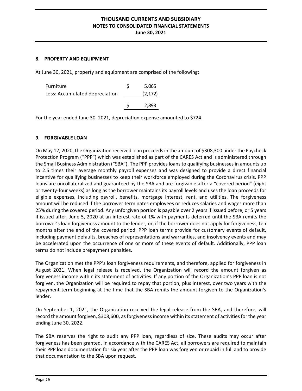#### **8. PROPERTY AND EQUIPMENT**

At June 30, 2021, property and equipment are comprised of the following:

| Furniture                      | 5,065    |
|--------------------------------|----------|
| Less: Accumulated depreciation | (2, 172) |
|                                | 2,893    |
|                                |          |

For the year ended June 30, 2021, depreciation expense amounted to \$724.

# **9. FORGIVABLE LOAN**

On May 12, 2020, the Organization received loan proceeds in the amount of \$308,300 under the Paycheck Protection Program ("PPP") which was established as part of the CARES Act and is administered through the Small Business Administration ("SBA"). The PPP provides loans to qualifying businesses in amounts up to 2.5 times their average monthly payroll expenses and was designed to provide a direct financial incentive for qualifying businesses to keep their workforce employed during the Coronavirus crisis. PPP loans are uncollateralized and guaranteed by the SBA and are forgivable after a "covered period" (eight or twenty‐four weeks) as long as the borrower maintains its payroll levels and uses the loan proceeds for eligible expenses, including payroll, benefits, mortgage interest, rent, and utilities. The forgiveness amount will be reduced if the borrower terminates employees or reduces salaries and wages more than 25% during the covered period. Any unforgiven portion is payable over 2 years if issued before, or 5 years if issued after, June 5, 2020 at an interest rate of 1% with payments deferred until the SBA remits the borrower's loan forgiveness amount to the lender, or, if the borrower does not apply for forgiveness, ten months after the end of the covered period. PPP loan terms provide for customary events of default, including payment defaults, breaches of representations and warranties, and insolvency events and may be accelerated upon the occurrence of one or more of these events of default. Additionally, PPP loan terms do not include prepayment penalties.

The Organization met the PPP's loan forgiveness requirements, and therefore, applied for forgiveness in August 2021. When legal release is received, the Organization will record the amount forgiven as forgiveness income within its statement of activities. If any portion of the Organization's PPP loan is not forgiven, the Organization will be required to repay that portion, plus interest, over two years with the repayment term beginning at the time that the SBA remits the amount forgiven to the Organization's lender.

On September 1, 2021, the Organization received the legal release from the SBA, and therefore, will record the amount forgiven, \$308,600, as forgiveness income within its statement of activities for the year ending June 30, 2022.

The SBA reserves the right to audit any PPP loan, regardless of size. These audits may occur after forgiveness has been granted. In accordance with the CARES Act, all borrowers are required to maintain their PPP loan documentation for six year after the PPP loan was forgiven or repaid in full and to provide that documentation to the SBA upon request.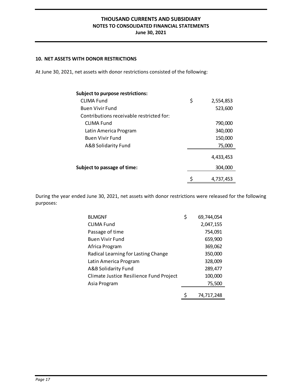# **10. NET ASSETS WITH DONOR RESTRICTIONS**

At June 30, 2021, net assets with donor restrictions consisted of the following:

| <b>Subject to purpose restrictions:</b>  |                      |
|------------------------------------------|----------------------|
| CLIMA Fund                               | \$<br>2,554,853      |
| <b>Buen Vivir Fund</b>                   | 523,600              |
| Contributions receivable restricted for: |                      |
| CLIMA Fund                               | 790,000              |
| Latin America Program                    | 340,000              |
| <b>Buen Vivir Fund</b>                   | 150,000              |
| A&B Solidarity Fund                      | 75,000               |
| Subject to passage of time:              | 4,433,453<br>304,000 |
|                                          | 4,737,453            |

During the year ended June 30, 2021, net assets with donor restrictions were released for the following purposes:

| <b>BLMGNF</b>                           | \$<br>69,744,054 |
|-----------------------------------------|------------------|
| CLIMA Fund                              | 2,047,155        |
| Passage of time                         | 754,091          |
| <b>Buen Vivir Fund</b>                  | 659,900          |
| Africa Program                          | 369,062          |
| Radical Learning for Lasting Change     | 350,000          |
| Latin America Program                   | 328,009          |
| A&B Solidarity Fund                     | 289,477          |
| Climate Justice Resilience Fund Project | 100,000          |
| Asia Program                            | 75,500           |
|                                         |                  |
|                                         | \$<br>74.717.248 |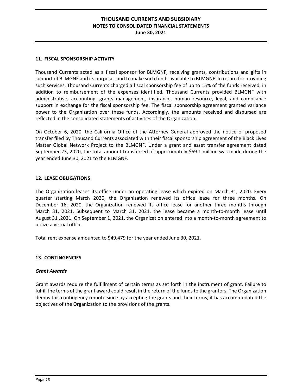#### **11. FISCAL SPONSORSHIP ACTIVITY**

Thousand Currents acted as a fiscal sponsor for BLMGNF, receiving grants, contributions and gifts in support of BLMGNF and its purposes and to make such funds available to BLMGNF. In return for providing such services, Thousand Currents charged a fiscal sponsorship fee of up to 15% of the funds received, in addition to reimbursement of the expenses identified. Thousand Currents provided BLMGNF with administrative, accounting, grants management, insurance, human resource, legal, and compliance support in exchange for the fiscal sponsorship fee. The fiscal sponsorship agreement granted variance power to the Organization over these funds. Accordingly, the amounts received and disbursed are reflected in the consolidated statements of activities of the Organization.

On October 6, 2020, the California Office of the Attorney General approved the notice of proposed transfer filed by Thousand Currents associated with their fiscal sponsorship agreement of the Black Lives Matter Global Network Project to the BLMGNF. Under a grant and asset transfer agreement dated September 23, 2020, the total amount transferred of approximately \$69.1 million was made during the year ended June 30, 2021 to the BLMGNF.

#### **12. LEASE OBLIGATIONS**

The Organization leases its office under an operating lease which expired on March 31, 2020. Every quarter starting March 2020, the Organization renewed its office lease for three months. On December 16, 2020, the Organization renewed its office lease for another three months through March 31, 2021. Subsequent to March 31, 2021, the lease became a month-to-month lease until August 31 ,2021. On September 1, 2021, the Organization entered into a month‐to‐month agreement to utilize a virtual office.

Total rent expense amounted to \$49,479 for the year ended June 30, 2021.

# **13. CONTINGENCIES**

#### *Grant Awards*

Grant awards require the fulfillment of certain terms as set forth in the instrument of grant. Failure to fulfill the terms of the grant award could result in the return of the funds to the grantors. The Organization deems this contingency remote since by accepting the grants and their terms, it has accommodated the objectives of the Organization to the provisions of the grants.